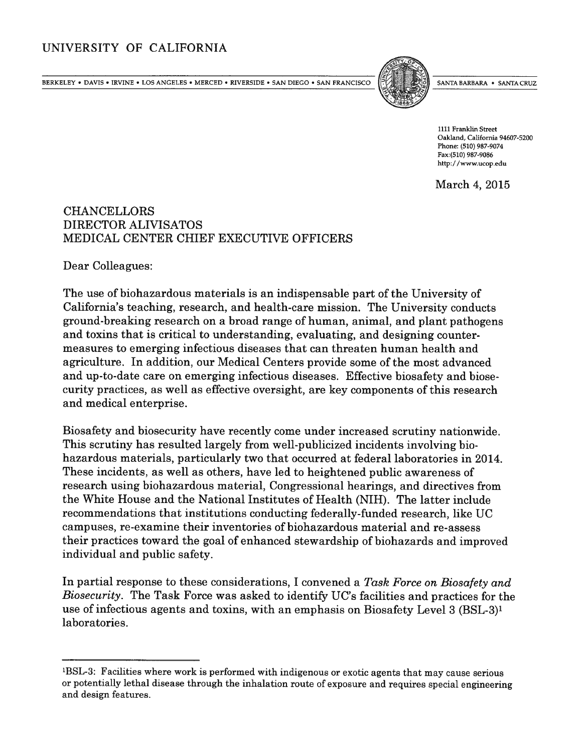## UNIVERSITY OF CALIFORNIA

BERKELEY • DAVIS • IRVINE • LOS ANGELES • MERCED • RIVERSIDE • SAN DIEGO • SAN FRANCISCO PORTE SANTA BARBARA • SANTA CRUZ



1111 Franklin Street Oakland, California 94607-5200 Phone: (510) 987-9074 Fax:(510) 987-9086 http://www.ucop.edu

March 4, 2015

## CHANCELLORS DIRECTOR ALIVISATOS MEDICAL CENTER CHIEF EXECUTIVE OFFICERS

Dear Colleagues:

The use of biohazardous materials is an indispensable par<sup>t</sup> of the University of California's teaching, research, and health-care mission. The University conducts ground-breaking research on <sup>a</sup> broad range of human, animal, and plant pathogens and toxins that is critical to understanding, evaluating, and designing counter measures to emerging infectious diseases that can threaten human health and agriculture. In addition, our Medical Centers provide some of the most advanced and up-to-date care on emerging infectious diseases. Effective biosafety and biose curity practices, as well as effective oversight, are key components of this research and medical enterprise.

Biosafety and biosecurity have recently come under increased scrutiny nationwide. This scrutiny has resulted largely from well-publicized incidents involving bio hazardous materials, particularly two that occurred at federal laboratories in 2014. These incidents, as well as others, have led to heightened public awareness of research using biohazardous material, Congressional hearings, and directives from the White House and the National Institutes of Health (NIH). The latter include recommendations that institutions conducting federally-funded research, like UC campuses, re-examine their inventories of biohazardous material and re-assess their practices toward the goa<sup>l</sup> of enhanced stewardship of biohazards and improved individual and public safety.

In partial response to these considerations, I convened a Task Force on Biosafety and Biosecurity. The Task Force was asked to identify UC's facilities and practices for the use of infectious agents and toxins, with an emphasis on Biosafety Level 3 (BSL-3)' laboratories.

<sup>&</sup>lt;sup>1</sup>BSL-3: Facilities where work is performed with indigenous or exotic agents that may cause serious or potentially lethal disease through the inhalation route of exposure and requires special engineering and design features.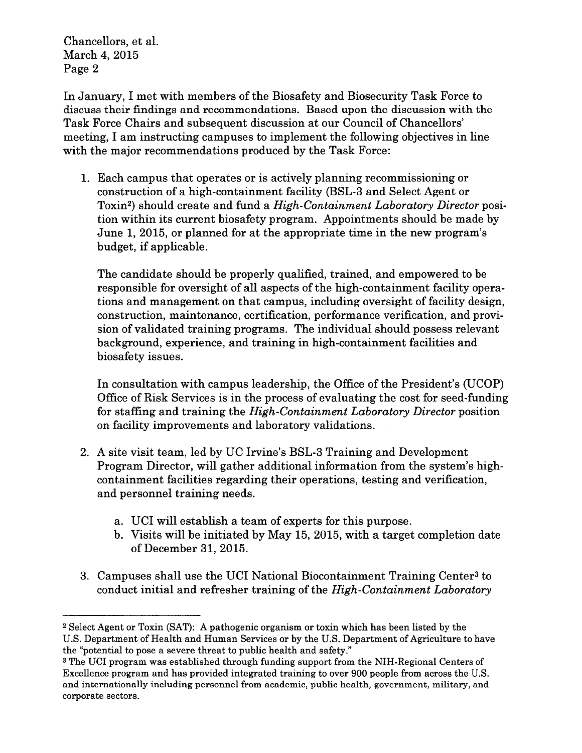Chancellors, et al. March 4, 2015 Page 2

In January, I met with members of the Biosafety and Biosecurity Task Force to discuss their findings and recommendations. Based upon the discussion with the Task Force Chairs and subsequent discussion at our Council of Chancellors' meeting, I am instructing campuses to implement the following objectives in line with the major recommendations produced by the Task Force:

1. Each campus that operates or is actively planning recommissioning or construction of <sup>a</sup> high-containment facility (BSL-3 and Select Agent or Toxin<sup>2</sup>) should create and fund a *High-Containment Laboratory Director* position within its current biosafety program. Appointments should be made by June 1, 2015, or planned for at the appropriate time in the new program's budget, if applicable.

The candidate should be properly qualified, trained, and empowered to be responsible for oversight of all aspects of the high-containment facility opera tions and managemen<sup>t</sup> on that campus, including oversight of facility design, construction, maintenance, certification, performance verification, and provi sion of validated training programs. The individual should possess relevant background, experience, and training in high-containment facilities and biosafety issues.

In consultation with campus leadership, the Office of the President's (UCOP) Office of Risk Services is in the process of evaluating the cost for seed-funding for staffing and training the High-Containment Laboratory Director position on facility improvements and laboratory validations.

- 2. A site visit team, led by UC Irvine's BSL-3 Training and Development Program Director, will gather additional information from the system's highcontainment facilities regarding their operations, testing and verification, and personnel training needs.
	- a. UCI will establish <sup>a</sup> team of experts for this purpose.
	- b. Visits will be initiated by May 15, 2015, with <sup>a</sup> target completion date of December 31, 2015.
- 3. Campuses shall use the UCI National Biocontainment Training Center<sup>3</sup> to conduct initial and refresher training of the High-Containment Laboratory

<sup>2</sup> Select Agent or Toxin (SAT): A pathogenic organism or toxin which has been listed by the U.S. Department of Health and Human Services or by the U.S. Department of Agriculture to have the "potential to pose <sup>a</sup> severe threat to public health and safety."

<sup>&</sup>lt;sup>3</sup> The UCI program was established through funding support from the NIH-Regional Centers of Excellence program and has provided integrated training to over 900 people from across the U.S. and internationally including personnel from academic, public health, government, military, and corporate sectors.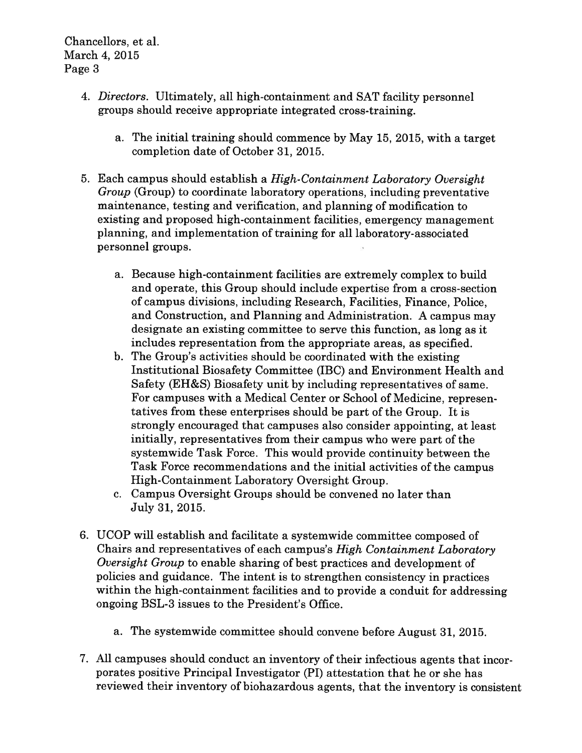- 4. Directors. Ultimately, all high-containment and SAT facility personne<sup>l</sup> groups should receive appropriate integrated cross-training.
	- a. The initial training should commence by May 15, 2015, with <sup>a</sup> target completion date of October 31, 2015.
- 5. Each campus should establish <sup>a</sup> High-Containment Laboratory Oversight Group (Group) to coordinate laboratory operations, including preventative maintenance, testing and verification, and planning of modification to existing and proposed high-containment facilities, emergency managemen<sup>t</sup> planning, and implementation of training for all laboratory-associated personnel groups.
	- a. Because high-containment facilities are extremely complex to build and operate, this Group should include expertise from <sup>a</sup> cross-section of campus divisions, including Research, Facilities, Finance, Police, and Construction, and Planning and Administration. <sup>A</sup> campus may designate an existing committee to serve this function, as long as it includes representation from the appropriate areas, as specified.
	- b. The Group's activities should be coordinated with the existing Institutional Biosafety Committee (IBC) and Environment Health and Safety (EH&S) Biosafety unit by including representatives of same. For campuses with <sup>a</sup> Medical Center or School of Medicine, represen tatives from these enterprises should be par<sup>t</sup> of the Group. It is strongly encouraged that campuses also consider appointing, at least initially, representatives from their campus who were par<sup>t</sup> of the systemwide Task Force. This would provide continuity between the Task Force recommendations and the initial activities of the campus High-Containment Laboratory Oversight Group.
	- c. Campus Oversight Groups should be convened no later than July 31, 2015.
- 6. UCOP will establish and facilitate <sup>a</sup> systemwide committee composed of Chairs and representatives of each campus's High Containment Laboratory Oversight Group to enable sharing of best practices and development of policies and guidance. The intent is to strengthen consistency in practices within the high-containment facilities and to provide <sup>a</sup> conduit for addressing ongoing BSL-3 issues to the President's Office.
	- a. The systemwide committee should convene before August 31, 2015.
- 7. All campuses should conduct an inventory of their infectious agents that incor porates positive Principal Investigator (PT) attestation that he or she has reviewed their inventory of biohazardous agents, that the inventory is consistent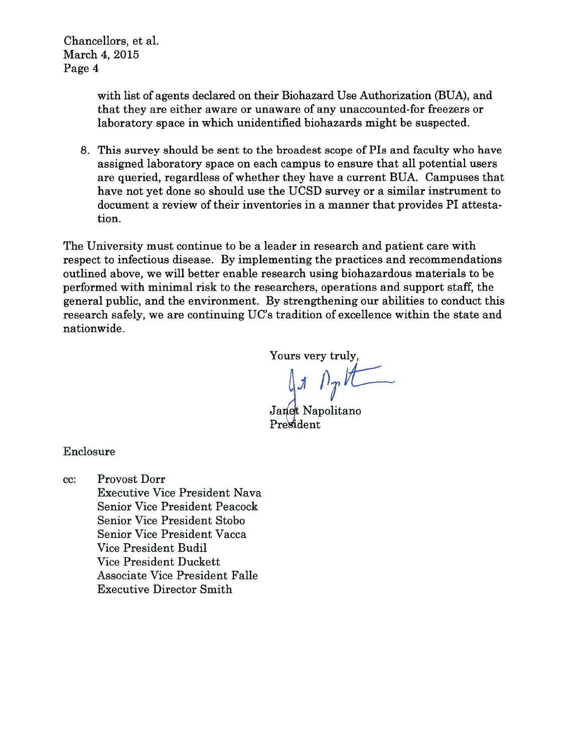Chancellors, et al. March 4, 2015 Page 4

> with list of agents declared on their Biohazard Use Authorization (BUA), and that they are either aware or unaware of any unaccounted-for freezers or laboratory space in which unidentified biohazards might be suspected.

8. This survey should be sent to the broadest scope of PIs and faculty who have assigned laboratory space on each campus to ensure that all potential users are queried, regardless of whether they have <sup>a</sup> current BUA. Campuses that have not ye<sup>t</sup> done so should use the UCSD survey or <sup>a</sup> similar instrument to document <sup>a</sup> review of their inventories in <sup>a</sup> manner that provides P1 attesta tion.

The University must continue to be <sup>a</sup> leader in research and patient care with respec<sup>t</sup> to infectious disease. By implementing the practices and recommendations outlined above, we will better enable research using biohazardous materials to be performed with minimal risk to the researchers, operations and support staff, the general public, and the environment. By strengthening our abilities to conduct this research safely, we are continuing UC's tradition of excellence within the state and nationwide.

Yours very truly,<br> $\int_{\mathcal{J}} \int_{\mathcal{J}} \mathcal{H}$ 

Janet Napolitano President

Enclosure

cc: Provost Dorr Executive Vice President Nava Senior Vice President Peacock Senior Vice President Stobo Senior Vice President Vacca Vice President Budil Vice President Duckett Associate Vice President Falle Executive Director Smith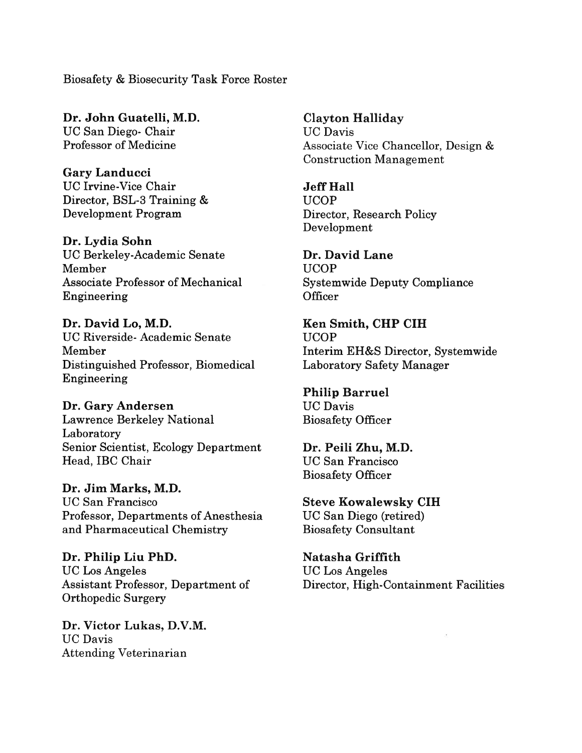Biosafety & Biosecurity Task Force Roster

Dr. John Guatelli, M.D. Clayton Halliday UC San Diego- Chair UC Davis

Gary Landucci UC Irvine-Vice Chair **Jeff Hall** Director, BSL-3 Training & UCOP Development Program Director, Research Policy

Dr. Lydia Sohn UC Berkeley-Academic Senate Dr. David Lane Member UCOP Associate Professor of Mechanical Systemwide Deputy Compliance Engineering Officer

Dr. David Lo, M.D. Ken Smith, CHP CIH UC Riverside- Academic Senate UCOP Distinguished Professor, Biomedical Laboratory Safety Manager Engineering

Dr. Gary Andersen UC Davis Lawrence Berkeley National Biosafety Officer Laboratory Senior Scientist, Ecology Department Dr. Peili Zhu, M.D. Head, IBC Chair UC San Francisco

Dr. Jim Marks, M.D. UC San Francisco Steve Kowalewsky CIH Professor, Departments of Anesthesia UC San Diego (retired) and Pharmaceutical Chemistry Biosafety Consultant

Dr. Philip Liu PhD. Natasha Griffith UC Los Angeles UC Los Angeles Orthopedic Surgery

Dr. Victor Lukas, D.V.M. UC Davis Attending Veterinarian

Professor of Medicine Associate Vice Chancellor, Design & Construction Management

Development

Member Interim EH&S Director, Systemwide

Philip Barruel

Biosafety Officer

Assistant Professor, Department of Director, High-Containment Facilities